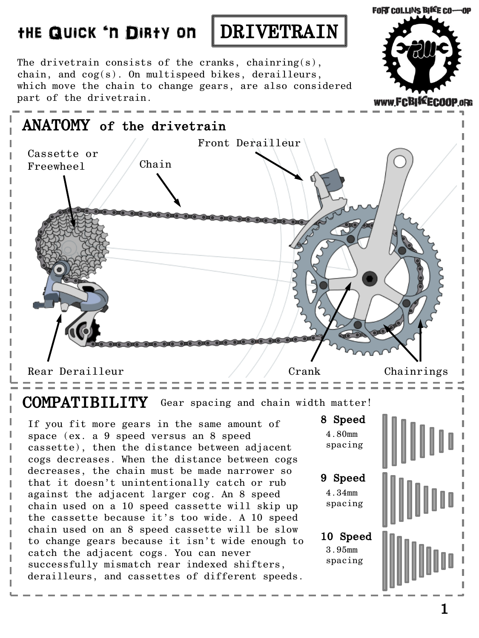

The drivetrain consists of the cranks, chainring(s), chain, and cog(s). On multispeed bikes, derailleurs, which move the chain to change gears, are also considered part of the drivetrain.



COMPATIBILITY Gear spacing and chain width matter!

If you fit more gears in the same amount of space (ex. a 9 speed versus an 8 speed cassette), then the distance between adjacent cogs decreases. When the distance between cogs decreases, the chain must be made narrower so that it doesn't unintentionally catch or rub against the adjacent larger cog. An 8 speed chain used on a 10 speed cassette will skip up the cassette because it's too wide. A 10 speed chain used on an 8 speed cassette will be slow to change gears because it isn't wide enough to catch the adjacent cogs. You can never successfully mismatch rear indexed shifters, derailleurs, and cassettes of different speeds.

8 Speed 9 Speed 10 Speed 4.80mm spacing 4.34mm spacing 3.95mm spacing

**FORT COLLINS BIKE CO-OP**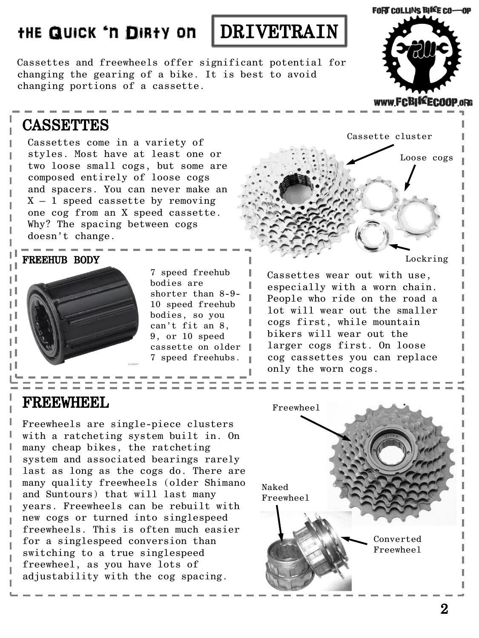## THE QUICK 'N DIRTY ON DRIVETRAIN



Cassettes and freewheels offer significant potential for changing the gearing of a bike. It is best to avoid changing portions of a cassette.

## **CASSETTES**

Cassettes come in a variety of styles. Most have at least one or two loose small cogs, but some are composed entirely of loose cogs and spacers. You can never make an  $X - 1$  speed cassette by removing one cog from an X speed cassette. Why? The spacing between cogs doesn't change.

μI μI ПI μI μI μI H нI

ı



7 speed freehub bodies are shorter than 8-9- 10 speed freehub bodies, so you can't fit an 8, 9, or 10 speed cassette on older 7 speed freehubs.

## Cassette cluster Loose cogs FREEHUB BODY **REEGONAL SUBSET OF A SECOND CONTRACT CONTRACT OF A SECOND CONTRACT OF A SECOND LOCKFING**

Cassettes wear out with use, especially with a worn chain. People who ride on the road a lot will wear out the smaller cogs first, while mountain bikers will wear out the larger cogs first. On loose cog cassettes you can replace only the worn cogs.

## FREEWHEEL

Freewheels are single-piece clusters with a ratcheting system built in. On many cheap bikes, the ratcheting system and associated bearings rarely last as long as the cogs do. There are many quality freewheels (older Shimano and Suntours) that will last many years. Freewheels can be rebuilt with new cogs or turned into singlespeed freewheels. This is often much easier for a singlespeed conversion than switching to a true singlespeed freewheel, as you have lots of adjustability with the cog spacing.



FORT COLLINS BIKE CO-OP

www.FCBISEECOOP.oRG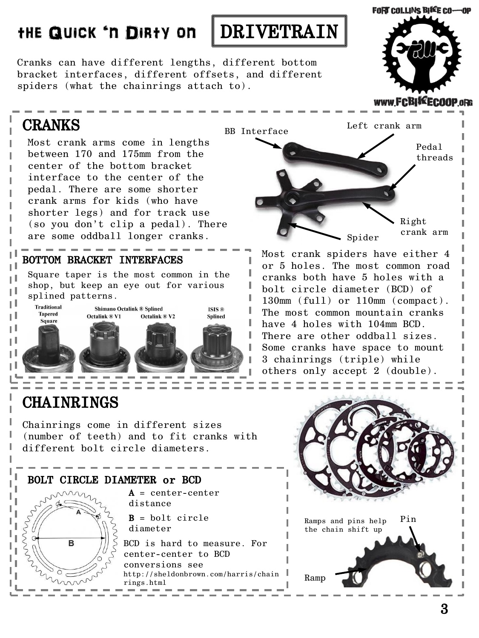Cranks can have different lengths, different bottom bracket interfaces, different offsets, and different spiders (what the chainrings attach to).

## CRANKS

IJ

Most crank arms come in lengths between 170 and 175mm from the center of the bottom bracket interface to the center of the pedal. There are some shorter crank arms for kids (who have shorter legs) and for track use (so you don't clip a pedal). There are some oddball longer cranks.

### BOTTOM BRACKET INTERFACES

Square taper is the most common in the shop, but keep an eye out for various splined patterns.



## **CHAINRINGS**

Chainrings come in different sizes (number of teeth) and to fit cranks with different bolt circle diameters.

#### BOLT CIRCLE DIAMETER or BCD



 $A = center-center$ distance

 $B = \text{bolt circle}$ diameter

BCD is hard to measure. For center-center to BCD conversions see http://sheldonbrown.com/harris/chain rings.html Ramp







Most crank spiders have either 4 or 5 holes. The most common road cranks both have 5 holes with a bolt circle diameter (BCD) of 130mm (full) or 110mm (compact). The most common mountain cranks have 4 holes with 104mm BCD. There are other oddball sizes. Some cranks have space to mount 3 chainrings (triple) while others only accept 2 (double).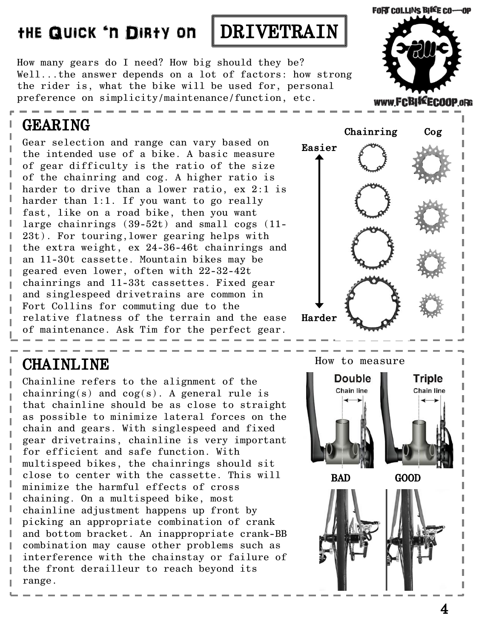

How many gears do I need? How big should they be? Well...the answer depends on a lot of factors: how strong the rider is, what the bike will be used for, personal preference on simplicity/maintenance/function, etc.

## GEARING

Gear selection and range can vary based on the intended use of a bike. A basic measure of gear difficulty is the ratio of the size of the chainring and cog. A higher ratio is harder to drive than a lower ratio, ex 2:1 is harder than 1:1. If you want to go really fast, like on a road bike, then you want large chainrings (39-52t) and small cogs (11- 23t). For touring,lower gearing helps with the extra weight, ex 24-36-46t chainrings and an 11-30t cassette. Mountain bikes may be geared even lower, often with 22-32-42t chainrings and 11-33t cassettes. Fixed gear and singlespeed drivetrains are common in Fort Collins for commuting due to the relative flatness of the terrain and the ease of maintenance. Ask Tim for the perfect gear.

# Chainring Cog Easier Harder

**CHAINLINE** 

Chainline refers to the alignment of the chainring(s) and  $\cos(s)$ . A general rule is that chainline should be as close to straight as possible to minimize lateral forces on the chain and gears. With singlespeed and fixed gear drivetrains, chainline is very important for efficient and safe function. With multispeed bikes, the chainrings should sit close to center with the cassette. This will minimize the harmful effects of cross chaining. On a multispeed bike, most chainline adjustment happens up front by picking an appropriate combination of crank and bottom bracket. An inappropriate crank-BB combination may cause other problems such as interference with the chainstay or failure of the front derailleur to reach beyond its range.

How to measure



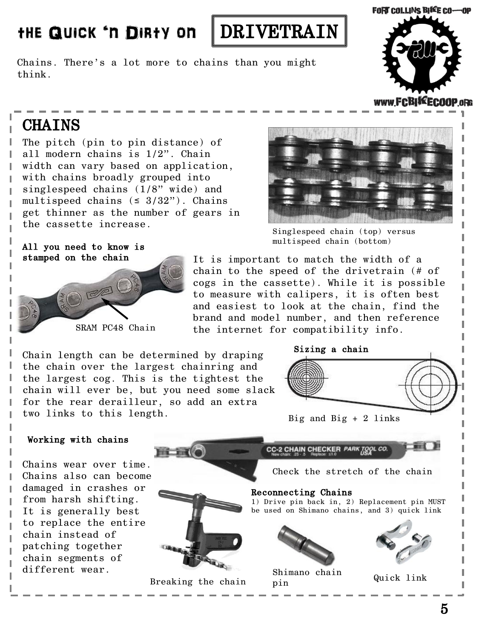Chains. There's a lot more to chains than you might think.



#### www.FCBI\*EC00

## **CHAINS**

ı I Т

ı

ľ Ī I Ī

The pitch (pin to pin distance) of all modern chains is 1/2". Chain width can vary based on application, with chains broadly grouped into singlespeed chains (1/8" wide) and multispeed chains  $(≤ 3/32")$ . Chains get thinner as the number of gears in the cassette increase.



Singlespeed chain (top) versus multispeed chain (bottom)

#### All you need to know is stamped on the chain



It is important to match the width of a chain to the speed of the drivetrain (# of cogs in the cassette). While it is possible to measure with calipers, it is often best and easiest to look at the chain, find the brand and model number, and then reference SRAM PC48 Chain the internet for compatibility info.

Chain length can be determined by draping the chain over the largest chainring and the largest cog. This is the tightest the chain will ever be, but you need some slack for the rear derailleur, so add an extra two links to this length.





Big and Big + 2 links

#### Working with chains

Chains wear over time. Chains also can become damaged in crashes or from harsh shifting. It is generally best to replace the entire chain instead of patching together chain segments of different wear.



5